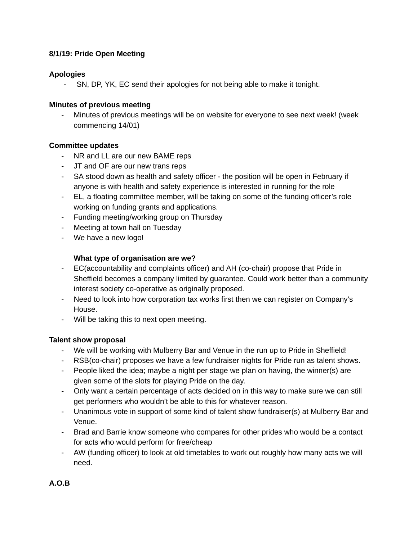### **8/1/19: Pride Open Meeting**

### **Apologies**

- SN, DP, YK, EC send their apologies for not being able to make it tonight.

#### **Minutes of previous meeting**

Minutes of previous meetings will be on website for everyone to see next week! (week commencing 14/01)

### **Committee updates**

- NR and LL are our new BAME reps
- JT and OF are our new trans reps
- SA stood down as health and safety officer the position will be open in February if anyone is with health and safety experience is interested in running for the role
- EL, a floating committee member, will be taking on some of the funding officer's role working on funding grants and applications.
- Funding meeting/working group on Thursday
- Meeting at town hall on Tuesday
- We have a new logo!

# **What type of organisation are we?**

- EC(accountability and complaints officer) and AH (co-chair) propose that Pride in Sheffield becomes a company limited by guarantee. Could work better than a community interest society co-operative as originally proposed.
- Need to look into how corporation tax works first then we can register on Company's House.
- Will be taking this to next open meeting.

# **Talent show proposal**

- We will be working with Mulberry Bar and Venue in the run up to Pride in Sheffield!
- RSB(co-chair) proposes we have a few fundraiser nights for Pride run as talent shows.
- People liked the idea; maybe a night per stage we plan on having, the winner(s) are given some of the slots for playing Pride on the day.
- Only want a certain percentage of acts decided on in this way to make sure we can still get performers who wouldn't be able to this for whatever reason.
- Unanimous vote in support of some kind of talent show fundraiser(s) at Mulberry Bar and Venue.
- Brad and Barrie know someone who compares for other prides who would be a contact for acts who would perform for free/cheap
- AW (funding officer) to look at old timetables to work out roughly how many acts we will need.